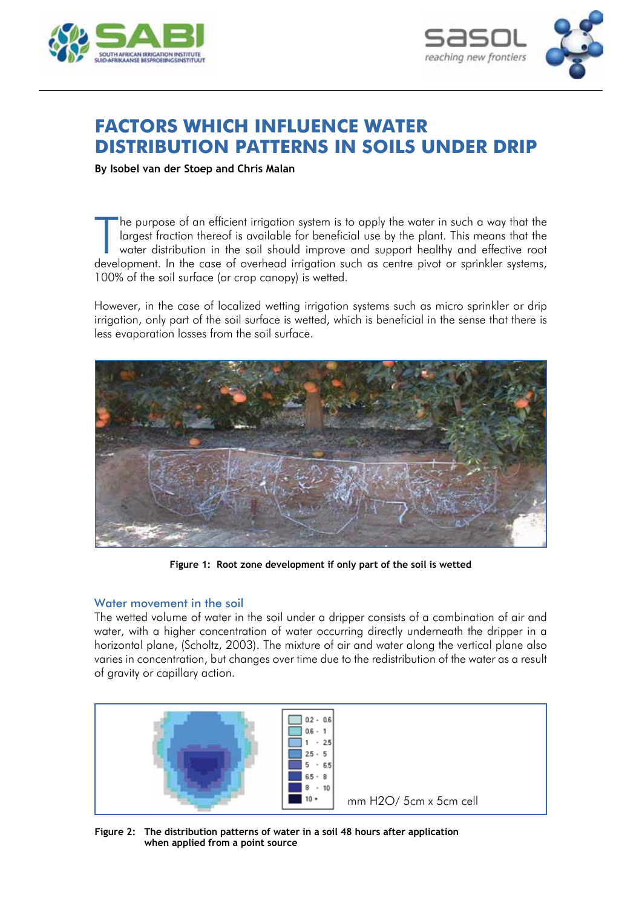



# **Factors which influence water distribution patterns in soils under drip**

**By Isobel van der Stoep and Chris Malan**

The purpose of an efficient irrigation system is to apply the water in such a way that the largest fraction thereof is available for beneficial use by the plant. This means that the water distribution in the soil should im he purpose of an efficient irrigation system is to apply the water in such a way that the largest fraction thereof is available for beneficial use by the plant. This means that the water distribution in the soil should improve and support healthy and effective root 100% of the soil surface (or crop canopy) is wetted.

However, in the case of localized wetting irrigation systems such as micro sprinkler or drip irrigation, only part of the soil surface is wetted, which is beneficial in the sense that there is less evaporation losses from the soil surface.



**Figure 1: Root zone development if only part of the soil is wetted**

### Water movement in the soil

The wetted volume of water in the soil under a dripper consists of a combination of air and water, with a higher concentration of water occurring directly underneath the dripper in a horizontal plane, (Scholtz, 2003). The mixture of air and water along the vertical plane also varies in concentration, but changes over time due to the redistribution of the water as a result of gravity or capillary action.



**Figure 2: The distribution patterns of water in a soil 48 hours after application when applied from a point source**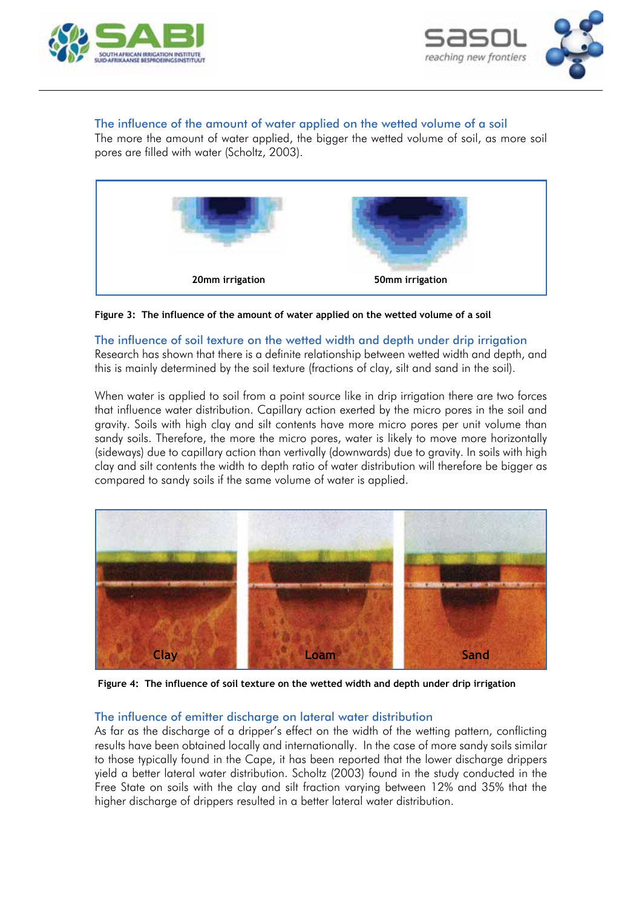



# The influence of the amount of water applied on the wetted volume of a soil

The more the amount of water applied, the bigger the wetted volume of soil, as more soil pores are filled with water (Scholtz, 2003).



**Figure 3: The influence of the amount of water applied on the wetted volume of a soil**

## The influence of soil texture on the wetted width and depth under drip irrigation

Research has shown that there is a definite relationship between wetted width and depth, and this is mainly determined by the soil texture (fractions of clay, silt and sand in the soil).

When water is applied to soil from a point source like in drip irrigation there are two forces that influence water distribution. Capillary action exerted by the micro pores in the soil and gravity. Soils with high clay and silt contents have more micro pores per unit volume than sandy soils. Therefore, the more the micro pores, water is likely to move more horizontally (sideways) due to capillary action than vertivally (downwards) due to gravity. In soils with high clay and silt contents the width to depth ratio of water distribution will therefore be bigger as compared to sandy soils if the same volume of water is applied.



**Figure 4: The influence of soil texture on the wetted width and depth under drip irrigation**

# The influence of emitter discharge on lateral water distribution

As far as the discharge of a dripper's effect on the width of the wetting pattern, conflicting results have been obtained locally and internationally. In the case of more sandy soils similar to those typically found in the Cape, it has been reported that the lower discharge drippers yield a better lateral water distribution. Scholtz (2003) found in the study conducted in the Free State on soils with the clay and silt fraction varying between 12% and 35% that the higher discharge of drippers resulted in a better lateral water distribution.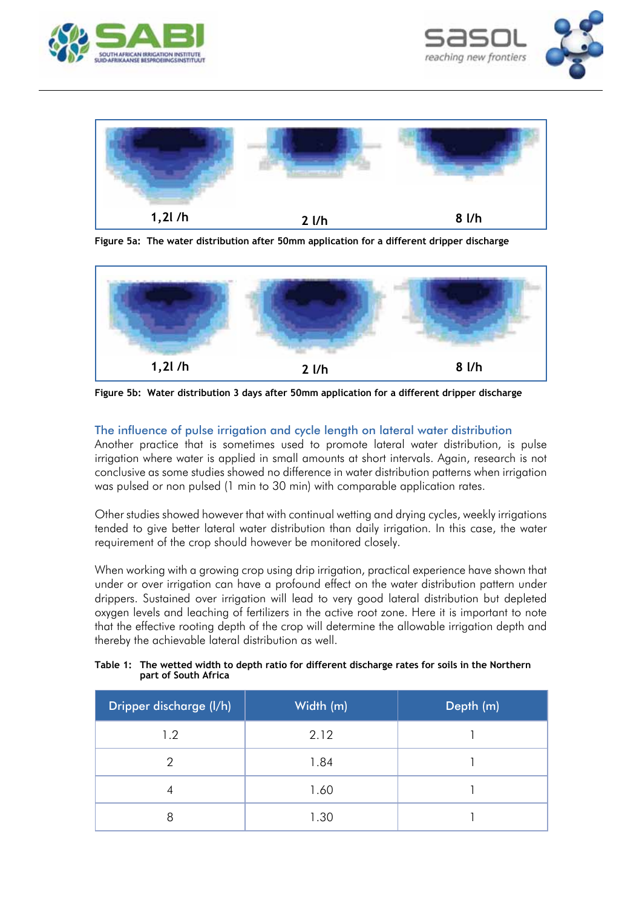





**Figure 5a: The water distribution after 50mm application for a different dripper discharge**



**Figure 5b: Water distribution 3 days after 50mm application for a different dripper discharge**

## The influence of pulse irrigation and cycle length on lateral water distribution

Another practice that is sometimes used to promote lateral water distribution, is pulse irrigation where water is applied in small amounts at short intervals. Again, research is not conclusive as some studies showed no difference in water distribution patterns when irrigation was pulsed or non pulsed (1 min to 30 min) with comparable application rates.

Other studies showed however that with continual wetting and drying cycles, weekly irrigations tended to give better lateral water distribution than daily irrigation. In this case, the water requirement of the crop should however be monitored closely.

When working with a growing crop using drip irrigation, practical experience have shown that under or over irrigation can have a profound effect on the water distribution pattern under drippers. Sustained over irrigation will lead to very good lateral distribution but depleted oxygen levels and leaching of fertilizers in the active root zone. Here it is important to note that the effective rooting depth of the crop will determine the allowable irrigation depth and thereby the achievable lateral distribution as well.

| Table 1: The wetted width to depth ratio for different discharge rates for soils in the Northern |
|--------------------------------------------------------------------------------------------------|
| part of South Africa                                                                             |

| Dripper discharge (I/h) | Width (m) | Depth (m) |
|-------------------------|-----------|-----------|
| 1.2                     | 2.12      |           |
| ႒                       | 1.84      |           |
|                         | 1.60      |           |
| 8                       | 1.30      |           |